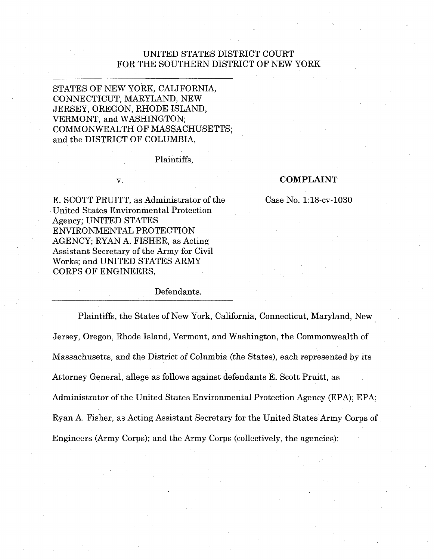# UNITED STATES DISTRICT COURT FOR THE SOUTHERN DISTRICT OF NEW YORK

# STATES OF NEW YORK, CALIFORNIA, CONNECTICUT, MARYLAND, NEW JERSEY, OREGON, RHODE ISLAND, VERMONT, and WASHINGTON; COMMONWEALTH OF MASSACHUSETTS; and the DISTRICT OF COLUMBIA,

#### Plaintiffs,

#### V.

#### **COMPLAINT**

E. SCOTT PRUITT, as Administrator of the Case No. 1:18-cv-1030 United States Environmental Protection Agency; UNITED STATES ENVIRONMENTAL PROTECTION AGENCY; RYAN A. FISHER, as Acting Assistant Secretary of the Army for Civil Works; and UNITED STATES ARMY CORPS OF ENGINEERS,

## Defendants.

Plaintiffs, the States of New York, California, Connecticut, Maryland, New Jersey, Oregon, Rhode Island, Vermont, and Washington, the Commonwealth of Massachusetts, and the District of Columbia (the States), each represented by its Attorney General, allege as follows against defendants E. Scott Pruitt, as Administrator of the United States Environmental Protection Agency (EPA); EPA; Ryan A. Fisher, as Acting Assistant Secretary for the United States Army Corps of Engineers (Army Corps); and the Army Corps (collectively, the agencies):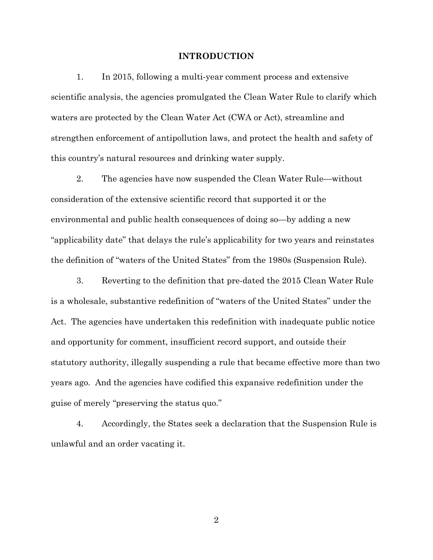#### **INTRODUCTION**

1. In 2015, following a multi-year comment process and extensive scientific analysis, the agencies promulgated the Clean Water Rule to clarify which waters are protected by the Clean Water Act (CWA or Act), streamline and strengthen enforcement of antipollution laws, and protect the health and safety of this country's natural resources and drinking water supply.

2. The agencies have now suspended the Clean Water Rule—without consideration of the extensive scientific record that supported it or the environmental and public health consequences of doing so—by adding a new "applicability date" that delays the rule's applicability for two years and reinstates the definition of "waters of the United States" from the 1980s (Suspension Rule).

3. Reverting to the definition that pre-dated the 2015 Clean Water Rule is a wholesale, substantive redefinition of "waters of the United States" under the Act. The agencies have undertaken this redefinition with inadequate public notice and opportunity for comment, insufficient record support, and outside their statutory authority, illegally suspending a rule that became effective more than two years ago. And the agencies have codified this expansive redefinition under the guise of merely "preserving the status quo."

4. Accordingly, the States seek a declaration that the Suspension Rule is unlawful and an order vacating it.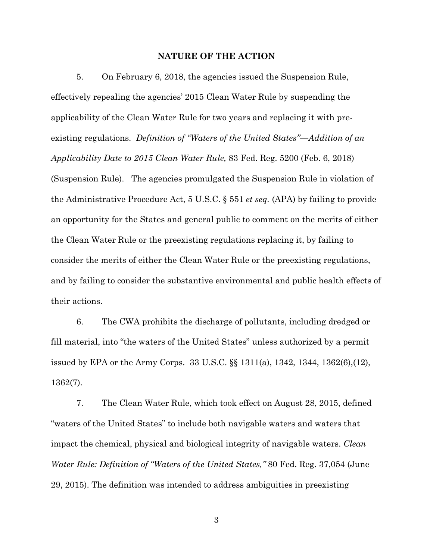#### **NATURE OF THE ACTION**

5. On February 6, 2018, the agencies issued the Suspension Rule, effectively repealing the agencies' 2015 Clean Water Rule by suspending the applicability of the Clean Water Rule for two years and replacing it with preexisting regulations. *Definition of "Waters of the United States"—Addition of an Applicability Date to 2015 Clean Water Rule,* 83 Fed. Reg. 5200 (Feb. 6, 2018) (Suspension Rule). The agencies promulgated the Suspension Rule in violation of the Administrative Procedure Act, 5 U.S.C. § 551 *et seq.* (APA) by failing to provide an opportunity for the States and general public to comment on the merits of either the Clean Water Rule or the preexisting regulations replacing it, by failing to consider the merits of either the Clean Water Rule or the preexisting regulations, and by failing to consider the substantive environmental and public health effects of their actions.

6. The CWA prohibits the discharge of pollutants, including dredged or fill material, into "the waters of the United States" unless authorized by a permit issued by EPA or the Army Corps. 33 U.S.C. §§ 1311(a), 1342, 1344, 1362(6),(12), 1362(7).

7. The Clean Water Rule, which took effect on August 28, 2015, defined "waters of the United States" to include both navigable waters and waters that impact the chemical, physical and biological integrity of navigable waters. *Clean Water Rule: Definition of "Waters of the United States,"* 80 Fed. Reg. 37,054 (June 29, 2015). The definition was intended to address ambiguities in preexisting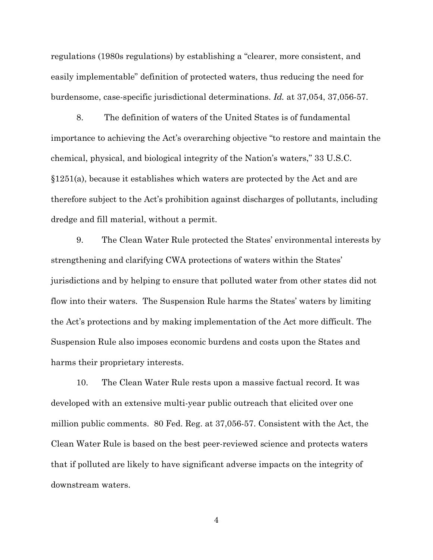regulations (1980s regulations) by establishing a "clearer, more consistent, and easily implementable" definition of protected waters, thus reducing the need for burdensome, case-specific jurisdictional determinations. *Id.* at 37,054, 37,056-57.

8. The definition of waters of the United States is of fundamental importance to achieving the Act's overarching objective "to restore and maintain the chemical, physical, and biological integrity of the Nation's waters," 33 U.S.C. §1251(a), because it establishes which waters are protected by the Act and are therefore subject to the Act's prohibition against discharges of pollutants, including dredge and fill material, without a permit.

9. The Clean Water Rule protected the States' environmental interests by strengthening and clarifying CWA protections of waters within the States' jurisdictions and by helping to ensure that polluted water from other states did not flow into their waters. The Suspension Rule harms the States' waters by limiting the Act's protections and by making implementation of the Act more difficult. The Suspension Rule also imposes economic burdens and costs upon the States and harms their proprietary interests.

10. The Clean Water Rule rests upon a massive factual record. It was developed with an extensive multi-year public outreach that elicited over one million public comments. 80 Fed. Reg. at 37,056-57. Consistent with the Act, the Clean Water Rule is based on the best peer-reviewed science and protects waters that if polluted are likely to have significant adverse impacts on the integrity of downstream waters.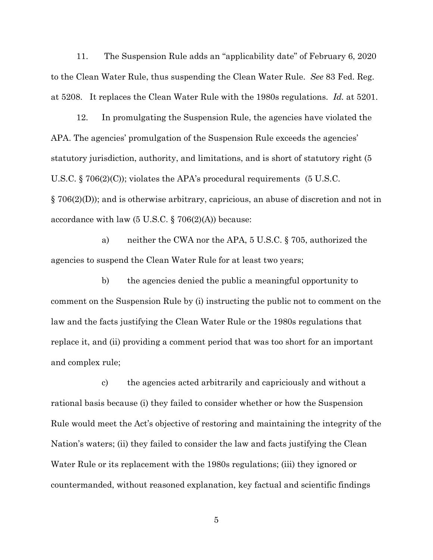11. The Suspension Rule adds an "applicability date" of February 6, 2020 to the Clean Water Rule, thus suspending the Clean Water Rule. *See* 83 Fed. Reg. at 5208. It replaces the Clean Water Rule with the 1980s regulations. *Id.* at 5201.

12. In promulgating the Suspension Rule, the agencies have violated the APA. The agencies' promulgation of the Suspension Rule exceeds the agencies' statutory jurisdiction, authority, and limitations, and is short of statutory right (5 U.S.C.  $\S$  706(2)(C)); violates the APA's procedural requirements (5 U.S.C. § 706(2)(D)); and is otherwise arbitrary, capricious, an abuse of discretion and not in accordance with law  $(5 \text{ U.S.C.} \S \text{ 706}(2)(\text{A}))$  because:

a) neither the CWA nor the APA, 5 U.S.C. § 705, authorized the agencies to suspend the Clean Water Rule for at least two years;

b) the agencies denied the public a meaningful opportunity to comment on the Suspension Rule by (i) instructing the public not to comment on the law and the facts justifying the Clean Water Rule or the 1980s regulations that replace it, and (ii) providing a comment period that was too short for an important and complex rule;

c) the agencies acted arbitrarily and capriciously and without a rational basis because (i) they failed to consider whether or how the Suspension Rule would meet the Act's objective of restoring and maintaining the integrity of the Nation's waters; (ii) they failed to consider the law and facts justifying the Clean Water Rule or its replacement with the 1980s regulations; (iii) they ignored or countermanded, without reasoned explanation, key factual and scientific findings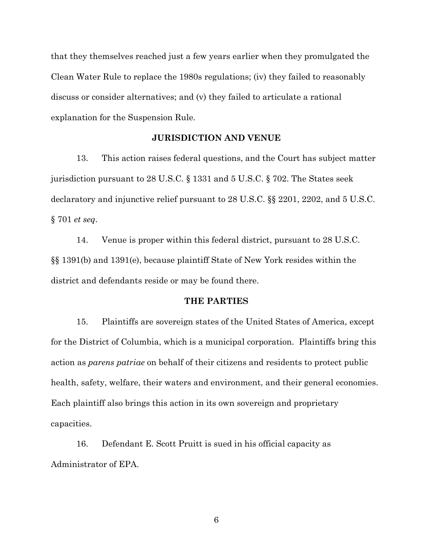that they themselves reached just a few years earlier when they promulgated the Clean Water Rule to replace the 1980s regulations; (iv) they failed to reasonably discuss or consider alternatives; and (v) they failed to articulate a rational explanation for the Suspension Rule.

# **JURISDICTION AND VENUE**

13. This action raises federal questions, and the Court has subject matter jurisdiction pursuant to 28 U.S.C. § 1331 and 5 U.S.C. § 702. The States seek declaratory and injunctive relief pursuant to 28 U.S.C. §§ 2201, 2202, and 5 U.S.C. § 701 *et seq*.

14. Venue is proper within this federal district, pursuant to 28 U.S.C. §§ 1391(b) and 1391(e), because plaintiff State of New York resides within the district and defendants reside or may be found there.

### **THE PARTIES**

15. Plaintiffs are sovereign states of the United States of America, except for the District of Columbia, which is a municipal corporation. Plaintiffs bring this action as *parens patriae* on behalf of their citizens and residents to protect public health, safety, welfare, their waters and environment, and their general economies. Each plaintiff also brings this action in its own sovereign and proprietary capacities.

16. Defendant E. Scott Pruitt is sued in his official capacity as Administrator of EPA.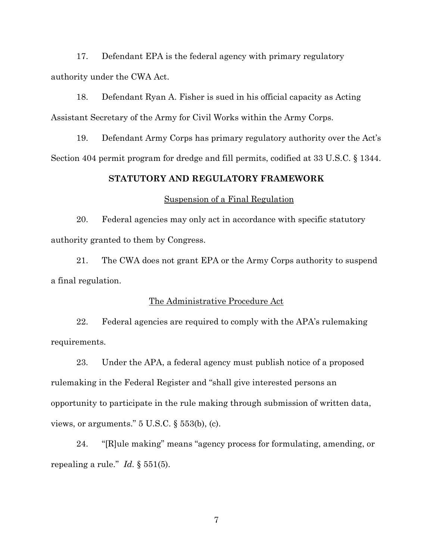17. Defendant EPA is the federal agency with primary regulatory authority under the CWA Act.

18. Defendant Ryan A. Fisher is sued in his official capacity as Acting Assistant Secretary of the Army for Civil Works within the Army Corps.

19. Defendant Army Corps has primary regulatory authority over the Act's Section 404 permit program for dredge and fill permits, codified at 33 U.S.C. § 1344.

# **STATUTORY AND REGULATORY FRAMEWORK**

## Suspension of a Final Regulation

20. Federal agencies may only act in accordance with specific statutory authority granted to them by Congress.

21. The CWA does not grant EPA or the Army Corps authority to suspend a final regulation.

### The Administrative Procedure Act

22. Federal agencies are required to comply with the APA's rulemaking requirements.

23. Under the APA, a federal agency must publish notice of a proposed rulemaking in the Federal Register and "shall give interested persons an opportunity to participate in the rule making through submission of written data, views, or arguments." 5 U.S.C. § 553(b), (c).

24. "[R]ule making" means "agency process for formulating, amending, or repealing a rule." *Id.* § 551(5).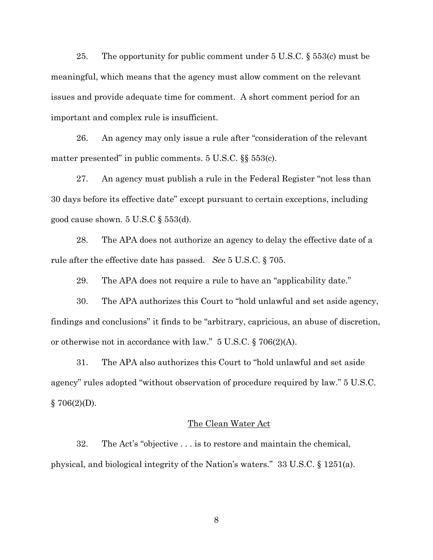25. The opportunity for public comment under  $5 \text{ U.S.C. } \S 553(c)$  must be meaningful, which means that the agency must allow comment on the relevant issues and provide adequate time for comment. A short comment period for an important and complex rule is insufficient.

26. An agency may only issue a rule after "consideration of the relevant matter presented" in public comments. 5 U.S.C. §§ 553(c).

27. An agency must publish a rule in the Federal Register "not less than 30 days before its effective date" except pursuant to certain exceptions, including good cause shown. 5 U.S.C § 553(d).

28. The APA does not authorize an agency to delay the effective date of a rule after the effective date has passed. *See* 5 U.S.C. § 705.

29. The APA does not require a rule to have an "applicability date."

30. The APA authorizes this Court to "hold unlawful and set aside agency, findings and conclusions" it finds to be "arbitrary, capricious, an abuse of discretion, or otherwise not in accordance with law." 5 U.S.C. § 706(2)(A).

31. The APA also authorizes this Court to "hold unlawful and set aside agency" rules adopted "without observation of procedure required by law." 5 U.S.C.  $§ 706(2)(D).$ 

#### The Clean Water Act

32. The Act's "objective . . . is to restore and maintain the chemical, physical, and biological integrity of the Nation's waters." 33 U.S.C. § 1251(a).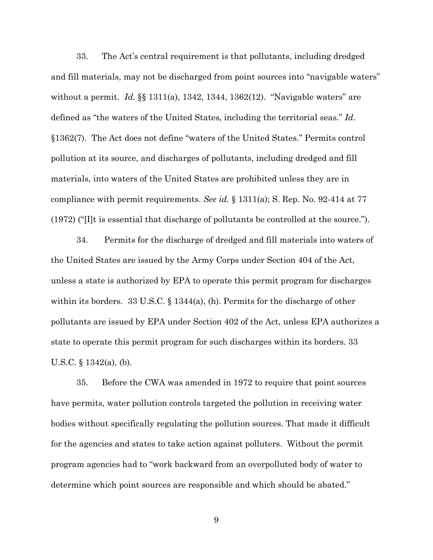33. The Act's central requirement is that pollutants, including dredged and fill materials, may not be discharged from point sources into "navigable waters" without a permit. *Id.* §§ 1311(a), 1342, 1344, 1362(12). "Navigable waters" are defined as "the waters of the United States, including the territorial seas." *Id*. §1362(7). The Act does not define "waters of the United States." Permits control pollution at its source, and discharges of pollutants, including dredged and fill materials, into waters of the United States are prohibited unless they are in compliance with permit requirements. *See id.* § 1311(a); S. Rep. No. 92-414 at 77  $(1972)$  ("I]t is essential that discharge of pollutants be controlled at the source.").

34. Permits for the discharge of dredged and fill materials into waters of the United States are issued by the Army Corps under Section 404 of the Act, unless a state is authorized by EPA to operate this permit program for discharges within its borders. 33 U.S.C. § 1344(a), (h). Permits for the discharge of other pollutants are issued by EPA under Section 402 of the Act, unless EPA authorizes a state to operate this permit program for such discharges within its borders. 33 U.S.C. § 1342(a), (b).

35. Before the CWA was amended in 1972 to require that point sources have permits, water pollution controls targeted the pollution in receiving water bodies without specifically regulating the pollution sources. That made it difficult for the agencies and states to take action against polluters. Without the permit program agencies had to "work backward from an overpolluted body of water to determine which point sources are responsible and which should be abated."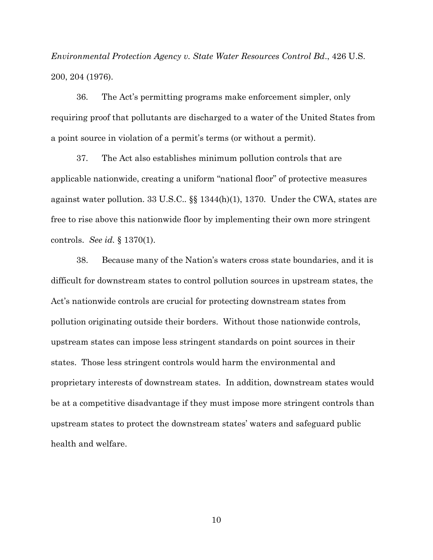*Environmental Protection Agency v. State Water Resources Control Bd*., 426 U.S. 200, 204 (1976).

36. The Act's permitting programs make enforcement simpler, only requiring proof that pollutants are discharged to a water of the United States from a point source in violation of a permit's terms (or without a permit).

37. The Act also establishes minimum pollution controls that are applicable nationwide, creating a uniform "national floor" of protective measures against water pollution. 33 U.S.C.*.* §§ 1344(h)(1), 1370. Under the CWA, states are free to rise above this nationwide floor by implementing their own more stringent controls. *See id.* § 1370(1).

38. Because many of the Nation's waters cross state boundaries, and it is difficult for downstream states to control pollution sources in upstream states, the Act's nationwide controls are crucial for protecting downstream states from pollution originating outside their borders. Without those nationwide controls, upstream states can impose less stringent standards on point sources in their states. Those less stringent controls would harm the environmental and proprietary interests of downstream states. In addition, downstream states would be at a competitive disadvantage if they must impose more stringent controls than upstream states to protect the downstream states' waters and safeguard public health and welfare.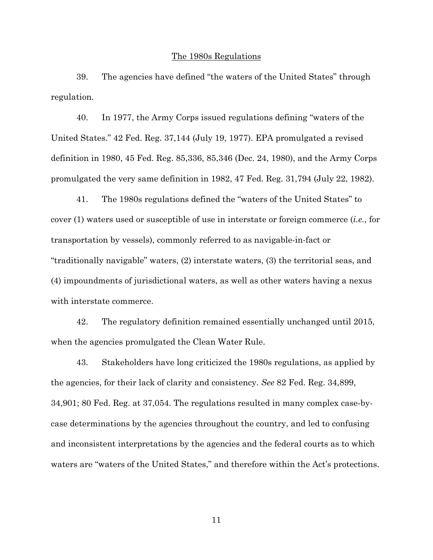#### The 1980s Regulations

39. The agencies have defined "the waters of the United States" through regulation.

40. In 1977, the Army Corps issued regulations defining "waters of the United States." 42 Fed. Reg. 37,144 (July 19, 1977). EPA promulgated a revised definition in 1980, 45 Fed. Reg. 85,336, 85,346 (Dec. 24, 1980), and the Army Corps promulgated the very same definition in 1982, 47 Fed. Reg. 31,794 (July 22, 1982).

41. The 1980s regulations defined the "waters of the United States" to cover (1) waters used or susceptible of use in interstate or foreign commerce (*i.e.*, for transportation by vessels), commonly referred to as navigable-in-fact or "traditionally navigable" waters, (2) interstate waters, (3) the territorial seas, and (4) impoundments of jurisdictional waters, as well as other waters having a nexus with interstate commerce.

42. The regulatory definition remained essentially unchanged until 2015, when the agencies promulgated the Clean Water Rule.

43. Stakeholders have long criticized the 1980s regulations, as applied by the agencies, for their lack of clarity and consistency. *See* 82 Fed. Reg. 34,899, 34,901; 80 Fed. Reg. at 37,054. The regulations resulted in many complex case-bycase determinations by the agencies throughout the country, and led to confusing and inconsistent interpretations by the agencies and the federal courts as to which waters are "waters of the United States," and therefore within the Act's protections.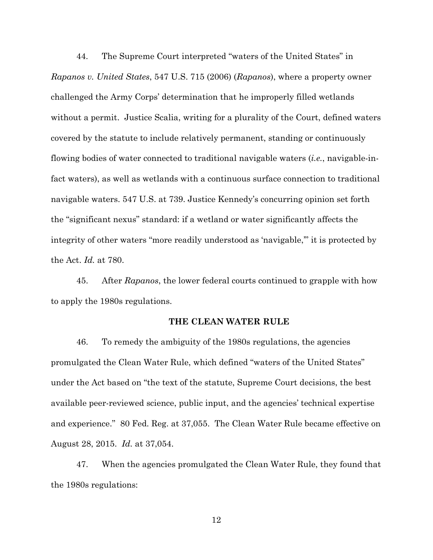44. The Supreme Court interpreted "waters of the United States" in *Rapanos v. United States*, 547 U.S. 715 (2006) (*Rapanos*), where a property owner challenged the Army Corps' determination that he improperly filled wetlands without a permit. Justice Scalia, writing for a plurality of the Court, defined waters covered by the statute to include relatively permanent, standing or continuously flowing bodies of water connected to traditional navigable waters (*i.e.*, navigable-infact waters), as well as wetlands with a continuous surface connection to traditional navigable waters. 547 U.S. at 739. Justice Kennedy's concurring opinion set forth the "significant nexus" standard: if a wetland or water significantly affects the integrity of other waters "more readily understood as 'navigable,'" it is protected by the Act. *Id.* at 780.

45. After *Rapanos*, the lower federal courts continued to grapple with how to apply the 1980s regulations.

#### **THE CLEAN WATER RULE**

46. To remedy the ambiguity of the 1980s regulations, the agencies promulgated the Clean Water Rule, which defined "waters of the United States" under the Act based on "the text of the statute, Supreme Court decisions, the best available peer-reviewed science, public input, and the agencies' technical expertise and experience." 80 Fed. Reg. at 37,055. The Clean Water Rule became effective on August 28, 2015. *Id.* at 37,054.

47. When the agencies promulgated the Clean Water Rule, they found that the 1980s regulations: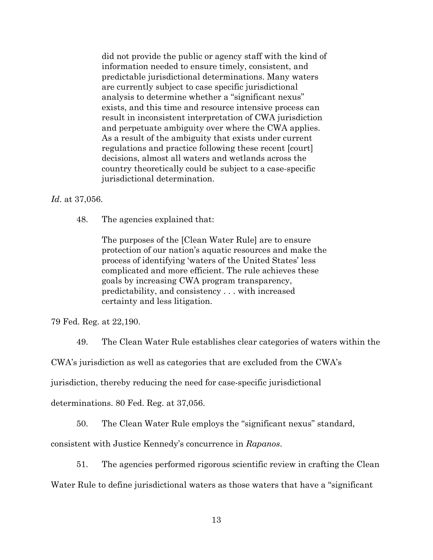did not provide the public or agency staff with the kind of information needed to ensure timely, consistent, and predictable jurisdictional determinations. Many waters are currently subject to case specific jurisdictional analysis to determine whether a "significant nexus" exists, and this time and resource intensive process can result in inconsistent interpretation of CWA jurisdiction and perpetuate ambiguity over where the CWA applies. As a result of the ambiguity that exists under current regulations and practice following these recent [court] decisions, almost all waters and wetlands across the country theoretically could be subject to a case-specific jurisdictional determination.

*Id*. at 37,056.

48. The agencies explained that:

The purposes of the [Clean Water Rule] are to ensure protection of our nation's aquatic resources and make the process of identifying 'waters of the United States' less complicated and more efficient. The rule achieves these goals by increasing CWA program transparency, predictability, and consistency . . . with increased certainty and less litigation.

79 Fed. Reg. at 22,190.

49. The Clean Water Rule establishes clear categories of waters within the

CWA's jurisdiction as well as categories that are excluded from the CWA's

jurisdiction, thereby reducing the need for case-specific jurisdictional

determinations. 80 Fed. Reg. at 37,056.

50. The Clean Water Rule employs the "significant nexus" standard,

consistent with Justice Kennedy's concurrence in *Rapanos*.

51. The agencies performed rigorous scientific review in crafting the Clean

Water Rule to define jurisdictional waters as those waters that have a "significant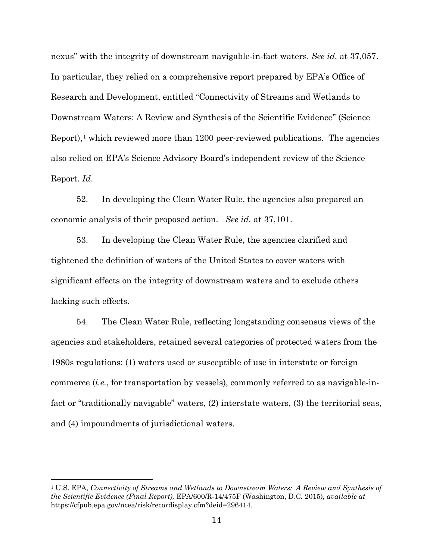nexus" with the integrity of downstream navigable-in-fact waters. *See id.* at 37,057. In particular, they relied on a comprehensive report prepared by EPA's Office of Research and Development, entitled "Connectivity of Streams and Wetlands to Downstream Waters: A Review and Synthesis of the Scientific Evidence'' (Science Report),[1](#page-13-0) which reviewed more than 1200 peer-reviewed publications. The agencies also relied on EPA's Science Advisory Board's independent review of the Science Report. *Id*.

52. In developing the Clean Water Rule, the agencies also prepared an economic analysis of their proposed action. *See id.* at 37,101.

53. In developing the Clean Water Rule, the agencies clarified and tightened the definition of waters of the United States to cover waters with significant effects on the integrity of downstream waters and to exclude others lacking such effects.

54. The Clean Water Rule, reflecting longstanding consensus views of the agencies and stakeholders, retained several categories of protected waters from the 1980s regulations: (1) waters used or susceptible of use in interstate or foreign commerce (*i.e.*, for transportation by vessels), commonly referred to as navigable-infact or "traditionally navigable" waters, (2) interstate waters, (3) the territorial seas, and (4) impoundments of jurisdictional waters.

 $\overline{a}$ 

<span id="page-13-0"></span><sup>1</sup> U.S. EPA, *Connectivity of Streams and Wetlands to Downstream Waters: A Review and Synthesis of the Scientific Evidence (Final Report),* EPA/600/R-14/475F (Washington, D.C*.* 2015)*, available at* https://cfpub.epa.gov/ncea/risk/recordisplay.cfm?deid=296414.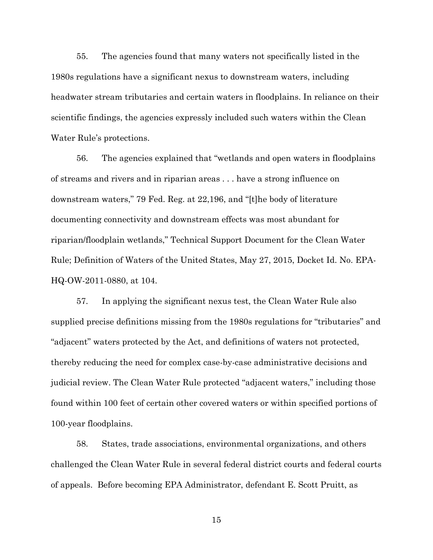55. The agencies found that many waters not specifically listed in the 1980s regulations have a significant nexus to downstream waters, including headwater stream tributaries and certain waters in floodplains. In reliance on their scientific findings, the agencies expressly included such waters within the Clean Water Rule's protections.

56. The agencies explained that "wetlands and open waters in floodplains of streams and rivers and in riparian areas . . . have a strong influence on downstream waters," 79 Fed. Reg. at 22,196, and "[t]he body of literature documenting connectivity and downstream effects was most abundant for riparian/floodplain wetlands," Technical Support Document for the Clean Water Rule; Definition of Waters of the United States, May 27, 2015, Docket Id. No. EPA-HQ-OW-2011-0880, at 104.

57. In applying the significant nexus test, the Clean Water Rule also supplied precise definitions missing from the 1980s regulations for "tributaries" and "adjacent" waters protected by the Act, and definitions of waters not protected, thereby reducing the need for complex case-by-case administrative decisions and judicial review. The Clean Water Rule protected "adjacent waters," including those found within 100 feet of certain other covered waters or within specified portions of 100-year floodplains.

58. States, trade associations, environmental organizations, and others challenged the Clean Water Rule in several federal district courts and federal courts of appeals. Before becoming EPA Administrator, defendant E. Scott Pruitt, as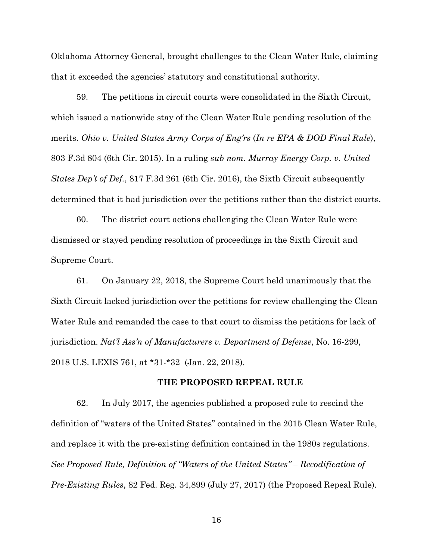Oklahoma Attorney General, brought challenges to the Clean Water Rule, claiming that it exceeded the agencies' statutory and constitutional authority.

59. The petitions in circuit courts were consolidated in the Sixth Circuit, which issued a nationwide stay of the Clean Water Rule pending resolution of the merits. *Ohio v. United States Army Corps of Eng'rs* (*In re EPA & DOD Final Rule*), 803 F.3d 804 (6th Cir. 2015). In a ruling *sub nom. Murray Energy Corp. v. United States Dep't of Def.*, 817 F.3d 261 (6th Cir. 2016), the Sixth Circuit subsequently determined that it had jurisdiction over the petitions rather than the district courts.

60. The district court actions challenging the Clean Water Rule were dismissed or stayed pending resolution of proceedings in the Sixth Circuit and Supreme Court.

61. On January 22, 2018, the Supreme Court held unanimously that the Sixth Circuit lacked jurisdiction over the petitions for review challenging the Clean Water Rule and remanded the case to that court to dismiss the petitions for lack of jurisdiction. *Nat'l Ass'n of Manufacturers v. Department of Defense*, No. 16-299, 2018 U.S. LEXIS 761, at \*31-\*32 (Jan. 22, 2018).

### **THE PROPOSED REPEAL RULE**

62. In July 2017, the agencies published a proposed rule to rescind the definition of "waters of the United States" contained in the 2015 Clean Water Rule, and replace it with the pre-existing definition contained in the 1980s regulations. *See Proposed Rule, Definition of "Waters of the United States" – Recodification of Pre-Existing Rules*, 82 Fed. Reg. 34,899 (July 27, 2017) (the Proposed Repeal Rule).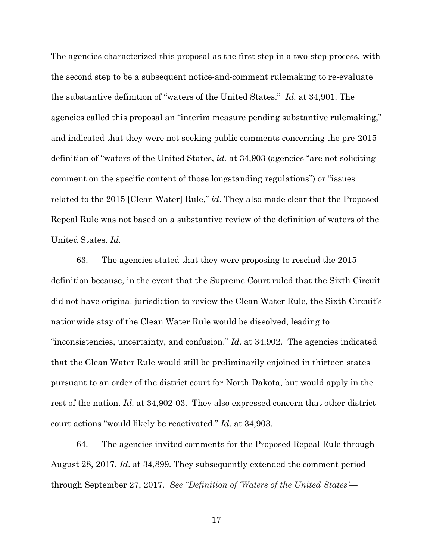The agencies characterized this proposal as the first step in a two-step process, with the second step to be a subsequent notice-and-comment rulemaking to re-evaluate the substantive definition of "waters of the United States." *Id.* at 34,901. The agencies called this proposal an "interim measure pending substantive rulemaking," and indicated that they were not seeking public comments concerning the pre-2015 definition of "waters of the United States, *id.* at 34,903 (agencies "are not soliciting comment on the specific content of those longstanding regulations") or "issues related to the 2015 [Clean Water] Rule," *id*. They also made clear that the Proposed Repeal Rule was not based on a substantive review of the definition of waters of the United States. *Id.* 

63. The agencies stated that they were proposing to rescind the 2015 definition because, in the event that the Supreme Court ruled that the Sixth Circuit did not have original jurisdiction to review the Clean Water Rule, the Sixth Circuit's nationwide stay of the Clean Water Rule would be dissolved, leading to "inconsistencies, uncertainty, and confusion." *Id*. at 34,902. The agencies indicated that the Clean Water Rule would still be preliminarily enjoined in thirteen states pursuant to an order of the district court for North Dakota, but would apply in the rest of the nation. *Id*. at 34,902-03. They also expressed concern that other district court actions "would likely be reactivated." *Id*. at 34,903.

64. The agencies invited comments for the Proposed Repeal Rule through August 28, 2017. *Id*. at 34,899. They subsequently extended the comment period through September 27, 2017. *See "Definition of 'Waters of the United States'—*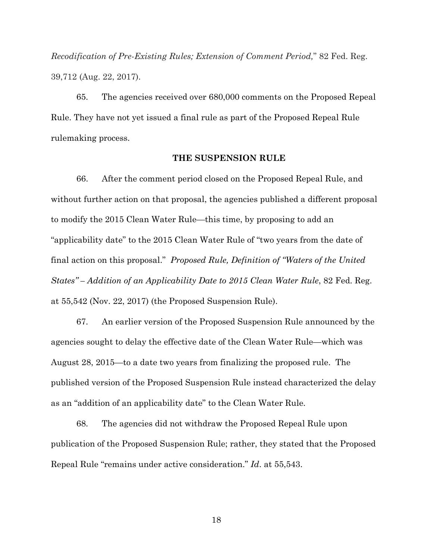*Recodification of Pre-Existing Rules; Extension of Comment Period,*" 82 Fed. Reg. 39,712 (Aug. 22, 2017).

65. The agencies received over 680,000 comments on the Proposed Repeal Rule. They have not yet issued a final rule as part of the Proposed Repeal Rule rulemaking process.

#### **THE SUSPENSION RULE**

66. After the comment period closed on the Proposed Repeal Rule, and without further action on that proposal, the agencies published a different proposal to modify the 2015 Clean Water Rule—this time, by proposing to add an "applicability date" to the 2015 Clean Water Rule of "two years from the date of final action on this proposal." *Proposed Rule, Definition of "Waters of the United States" – Addition of an Applicability Date to 2015 Clean Water Rule*, 82 Fed. Reg. at 55,542 (Nov. 22, 2017) (the Proposed Suspension Rule).

67. An earlier version of the Proposed Suspension Rule announced by the agencies sought to delay the effective date of the Clean Water Rule—which was August 28, 2015—to a date two years from finalizing the proposed rule. The published version of the Proposed Suspension Rule instead characterized the delay as an "addition of an applicability date" to the Clean Water Rule.

68. The agencies did not withdraw the Proposed Repeal Rule upon publication of the Proposed Suspension Rule; rather, they stated that the Proposed Repeal Rule "remains under active consideration." *Id*. at 55,543.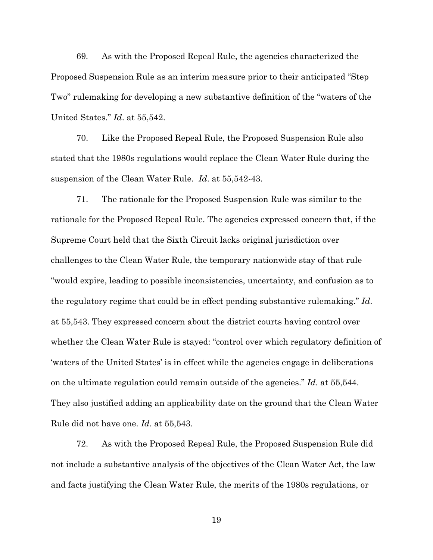69. As with the Proposed Repeal Rule, the agencies characterized the Proposed Suspension Rule as an interim measure prior to their anticipated "Step Two" rulemaking for developing a new substantive definition of the "waters of the United States." *Id*. at 55,542.

70. Like the Proposed Repeal Rule, the Proposed Suspension Rule also stated that the 1980s regulations would replace the Clean Water Rule during the suspension of the Clean Water Rule. *Id*. at 55,542-43.

71. The rationale for the Proposed Suspension Rule was similar to the rationale for the Proposed Repeal Rule. The agencies expressed concern that, if the Supreme Court held that the Sixth Circuit lacks original jurisdiction over challenges to the Clean Water Rule, the temporary nationwide stay of that rule "would expire, leading to possible inconsistencies, uncertainty, and confusion as to the regulatory regime that could be in effect pending substantive rulemaking." *Id*. at 55,543. They expressed concern about the district courts having control over whether the Clean Water Rule is stayed: "control over which regulatory definition of 'waters of the United States' is in effect while the agencies engage in deliberations on the ultimate regulation could remain outside of the agencies." *Id*. at 55,544. They also justified adding an applicability date on the ground that the Clean Water Rule did not have one. *Id.* at 55,543.

72. As with the Proposed Repeal Rule, the Proposed Suspension Rule did not include a substantive analysis of the objectives of the Clean Water Act, the law and facts justifying the Clean Water Rule, the merits of the 1980s regulations, or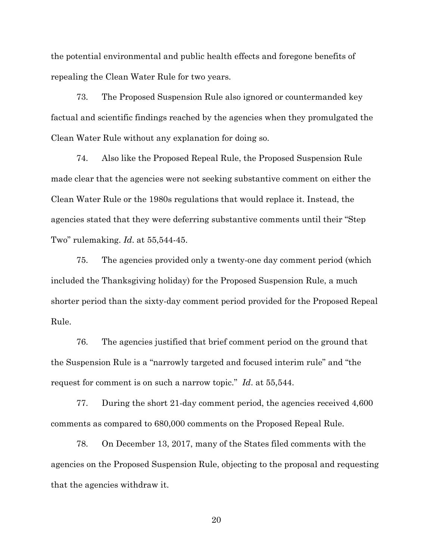the potential environmental and public health effects and foregone benefits of repealing the Clean Water Rule for two years.

73. The Proposed Suspension Rule also ignored or countermanded key factual and scientific findings reached by the agencies when they promulgated the Clean Water Rule without any explanation for doing so.

74. Also like the Proposed Repeal Rule, the Proposed Suspension Rule made clear that the agencies were not seeking substantive comment on either the Clean Water Rule or the 1980s regulations that would replace it. Instead, the agencies stated that they were deferring substantive comments until their "Step Two" rulemaking. *Id*. at 55,544-45.

75. The agencies provided only a twenty-one day comment period (which included the Thanksgiving holiday) for the Proposed Suspension Rule, a much shorter period than the sixty-day comment period provided for the Proposed Repeal Rule.

76. The agencies justified that brief comment period on the ground that the Suspension Rule is a "narrowly targeted and focused interim rule" and "the request for comment is on such a narrow topic." *Id*. at 55,544.

77. During the short 21-day comment period, the agencies received 4,600 comments as compared to 680,000 comments on the Proposed Repeal Rule.

78. On December 13, 2017, many of the States filed comments with the agencies on the Proposed Suspension Rule, objecting to the proposal and requesting that the agencies withdraw it.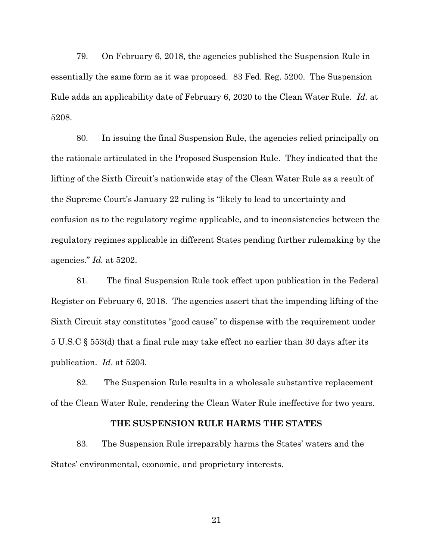79. On February 6, 2018, the agencies published the Suspension Rule in essentially the same form as it was proposed. 83 Fed. Reg. 5200. The Suspension Rule adds an applicability date of February 6, 2020 to the Clean Water Rule. *Id.* at 5208.

80. In issuing the final Suspension Rule, the agencies relied principally on the rationale articulated in the Proposed Suspension Rule. They indicated that the lifting of the Sixth Circuit's nationwide stay of the Clean Water Rule as a result of the Supreme Court's January 22 ruling is "likely to lead to uncertainty and confusion as to the regulatory regime applicable, and to inconsistencies between the regulatory regimes applicable in different States pending further rulemaking by the agencies." *Id.* at 5202.

81. The final Suspension Rule took effect upon publication in the Federal Register on February 6, 2018. The agencies assert that the impending lifting of the Sixth Circuit stay constitutes "good cause" to dispense with the requirement under 5 U.S.C § 553(d) that a final rule may take effect no earlier than 30 days after its publication. *Id*. at 5203.

82. The Suspension Rule results in a wholesale substantive replacement of the Clean Water Rule, rendering the Clean Water Rule ineffective for two years.

## **THE SUSPENSION RULE HARMS THE STATES**

83. The Suspension Rule irreparably harms the States' waters and the States' environmental, economic, and proprietary interests.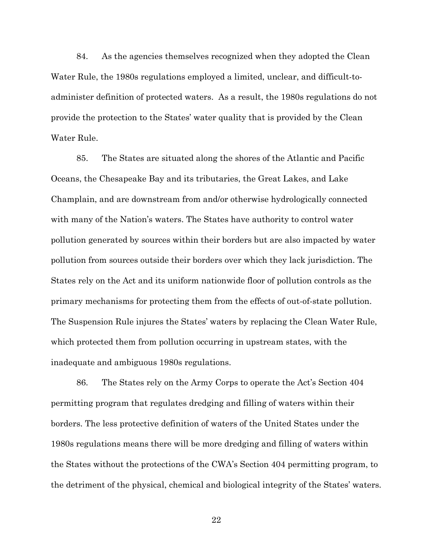84. As the agencies themselves recognized when they adopted the Clean Water Rule, the 1980s regulations employed a limited, unclear, and difficult-toadminister definition of protected waters. As a result, the 1980s regulations do not provide the protection to the States' water quality that is provided by the Clean Water Rule.

85. The States are situated along the shores of the Atlantic and Pacific Oceans, the Chesapeake Bay and its tributaries, the Great Lakes, and Lake Champlain, and are downstream from and/or otherwise hydrologically connected with many of the Nation's waters. The States have authority to control water pollution generated by sources within their borders but are also impacted by water pollution from sources outside their borders over which they lack jurisdiction. The States rely on the Act and its uniform nationwide floor of pollution controls as the primary mechanisms for protecting them from the effects of out-of-state pollution. The Suspension Rule injures the States' waters by replacing the Clean Water Rule, which protected them from pollution occurring in upstream states, with the inadequate and ambiguous 1980s regulations.

86. The States rely on the Army Corps to operate the Act's Section 404 permitting program that regulates dredging and filling of waters within their borders. The less protective definition of waters of the United States under the 1980s regulations means there will be more dredging and filling of waters within the States without the protections of the CWA's Section 404 permitting program, to the detriment of the physical, chemical and biological integrity of the States' waters.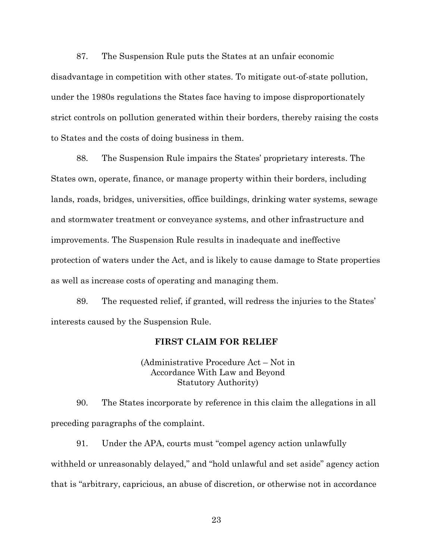87. The Suspension Rule puts the States at an unfair economic disadvantage in competition with other states. To mitigate out-of-state pollution, under the 1980s regulations the States face having to impose disproportionately strict controls on pollution generated within their borders, thereby raising the costs to States and the costs of doing business in them.

88. The Suspension Rule impairs the States' proprietary interests. The States own, operate, finance, or manage property within their borders, including lands, roads, bridges, universities, office buildings, drinking water systems, sewage and stormwater treatment or conveyance systems, and other infrastructure and improvements. The Suspension Rule results in inadequate and ineffective protection of waters under the Act, and is likely to cause damage to State properties as well as increase costs of operating and managing them.

89. The requested relief, if granted, will redress the injuries to the States' interests caused by the Suspension Rule.

# **FIRST CLAIM FOR RELIEF**

(Administrative Procedure Act – Not in Accordance With Law and Beyond Statutory Authority)

90. The States incorporate by reference in this claim the allegations in all preceding paragraphs of the complaint.

91. Under the APA, courts must "compel agency action unlawfully withheld or unreasonably delayed," and "hold unlawful and set aside" agency action that is "arbitrary, capricious, an abuse of discretion, or otherwise not in accordance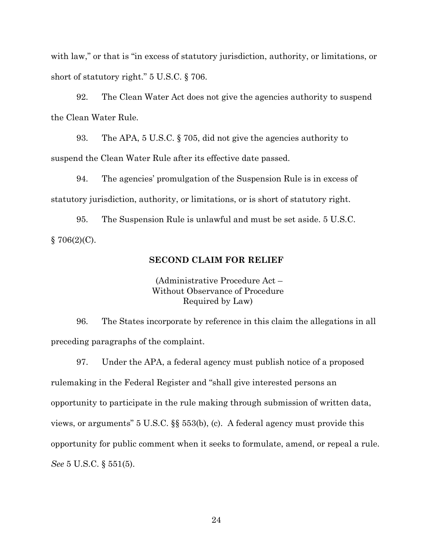with law," or that is "in excess of statutory jurisdiction, authority, or limitations, or short of statutory right." 5 U.S.C. § 706.

92. The Clean Water Act does not give the agencies authority to suspend the Clean Water Rule.

93. The APA, 5 U.S.C. § 705, did not give the agencies authority to suspend the Clean Water Rule after its effective date passed.

94. The agencies' promulgation of the Suspension Rule is in excess of statutory jurisdiction, authority, or limitations, or is short of statutory right.

95. The Suspension Rule is unlawful and must be set aside. 5 U.S.C.  $§ 706(2)(C).$ 

## **SECOND CLAIM FOR RELIEF**

(Administrative Procedure Act – Without Observance of Procedure Required by Law)

96. The States incorporate by reference in this claim the allegations in all preceding paragraphs of the complaint.

97. Under the APA, a federal agency must publish notice of a proposed rulemaking in the Federal Register and "shall give interested persons an opportunity to participate in the rule making through submission of written data, views, or arguments" 5 U.S.C. §§ 553(b), (c). A federal agency must provide this opportunity for public comment when it seeks to formulate, amend, or repeal a rule. *See* 5 U.S.C. § 551(5).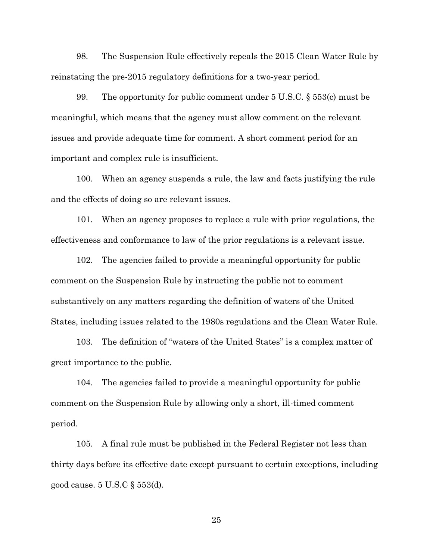98. The Suspension Rule effectively repeals the 2015 Clean Water Rule by reinstating the pre-2015 regulatory definitions for a two-year period.

99. The opportunity for public comment under  $5 \text{ U.S.C. } \S 553(c)$  must be meaningful, which means that the agency must allow comment on the relevant issues and provide adequate time for comment. A short comment period for an important and complex rule is insufficient.

100. When an agency suspends a rule, the law and facts justifying the rule and the effects of doing so are relevant issues.

101. When an agency proposes to replace a rule with prior regulations, the effectiveness and conformance to law of the prior regulations is a relevant issue.

102. The agencies failed to provide a meaningful opportunity for public comment on the Suspension Rule by instructing the public not to comment substantively on any matters regarding the definition of waters of the United States, including issues related to the 1980s regulations and the Clean Water Rule.

103. The definition of "waters of the United States" is a complex matter of great importance to the public.

104. The agencies failed to provide a meaningful opportunity for public comment on the Suspension Rule by allowing only a short, ill-timed comment period.

105. A final rule must be published in the Federal Register not less than thirty days before its effective date except pursuant to certain exceptions, including good cause. 5 U.S.C § 553(d).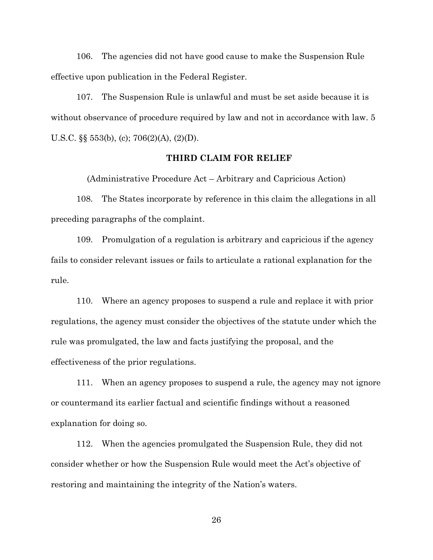106. The agencies did not have good cause to make the Suspension Rule effective upon publication in the Federal Register.

107. The Suspension Rule is unlawful and must be set aside because it is without observance of procedure required by law and not in accordance with law. 5 U.S.C.  $\S$  $\S$  553(b), (c); 706(2)(A), (2)(D).

# **THIRD CLAIM FOR RELIEF**

(Administrative Procedure Act – Arbitrary and Capricious Action)

108. The States incorporate by reference in this claim the allegations in all preceding paragraphs of the complaint.

109. Promulgation of a regulation is arbitrary and capricious if the agency fails to consider relevant issues or fails to articulate a rational explanation for the rule.

110. Where an agency proposes to suspend a rule and replace it with prior regulations, the agency must consider the objectives of the statute under which the rule was promulgated, the law and facts justifying the proposal, and the effectiveness of the prior regulations.

111. When an agency proposes to suspend a rule, the agency may not ignore or countermand its earlier factual and scientific findings without a reasoned explanation for doing so.

112. When the agencies promulgated the Suspension Rule, they did not consider whether or how the Suspension Rule would meet the Act's objective of restoring and maintaining the integrity of the Nation's waters.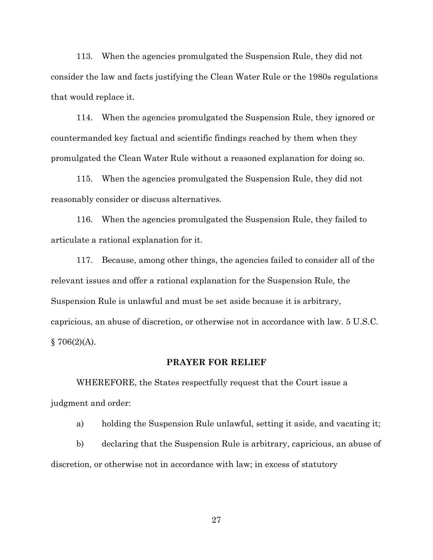113. When the agencies promulgated the Suspension Rule, they did not consider the law and facts justifying the Clean Water Rule or the 1980s regulations that would replace it.

114. When the agencies promulgated the Suspension Rule, they ignored or countermanded key factual and scientific findings reached by them when they promulgated the Clean Water Rule without a reasoned explanation for doing so.

115. When the agencies promulgated the Suspension Rule, they did not reasonably consider or discuss alternatives.

116. When the agencies promulgated the Suspension Rule, they failed to articulate a rational explanation for it.

117. Because, among other things, the agencies failed to consider all of the relevant issues and offer a rational explanation for the Suspension Rule, the Suspension Rule is unlawful and must be set aside because it is arbitrary, capricious, an abuse of discretion, or otherwise not in accordance with law. 5 U.S.C.  $$706(2)(A).$ 

## **PRAYER FOR RELIEF**

WHEREFORE, the States respectfully request that the Court issue a judgment and order:

a) holding the Suspension Rule unlawful, setting it aside, and vacating it;

b) declaring that the Suspension Rule is arbitrary, capricious, an abuse of discretion, or otherwise not in accordance with law; in excess of statutory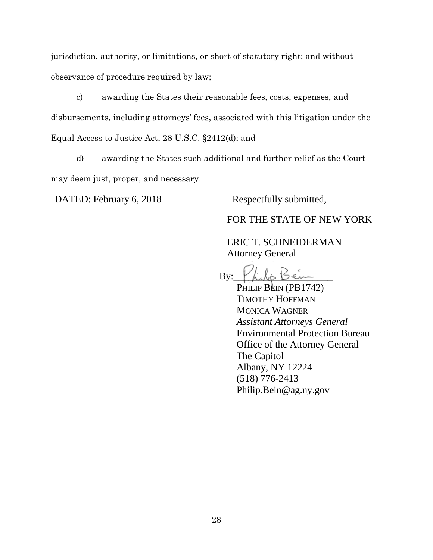jurisdiction, authority, or limitations, or short of statutory right; and without observance of procedure required by law;

c) awarding the States their reasonable fees, costs, expenses, and disbursements, including attorneys' fees, associated with this litigation under the Equal Access to Justice Act, 28 U.S.C. §2412(d); and

d) awarding the States such additional and further relief as the Court may deem just, proper, and necessary.

DATED: February 6, 2018 Respectfully submitted,

FOR THE STATE OF NEW YORK

ERIC T. SCHNEIDERMAN Attorney General

 $By:$  [ filip Being

PHILIP BEIN (PB1742) TIMOTHY HOFFMAN MONICA WAGNER *Assistant Attorneys General* Environmental Protection Bureau Office of the Attorney General The Capitol Albany, NY 12224 (518) 776-2413 Philip.Bein@ag.ny.gov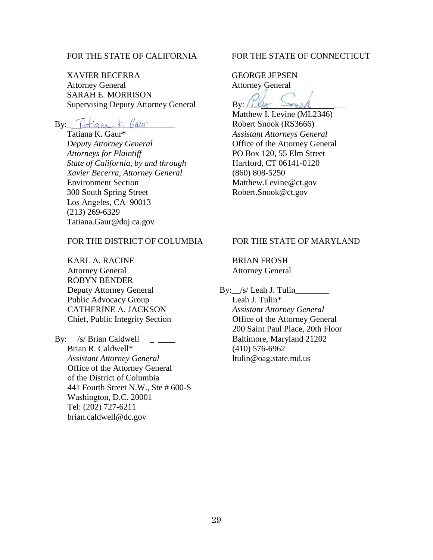# FOR THE STATE OF CALIFORNIA

XAVIER BECERRA Attorney General SARAH E. MORRISON Supervising Deputy Attorney General

 $By:$  Tatiana  $k$  baur

Tatiana K. Gaur\* *Deputy Attorney General Attorneys for Plaintiff State of California, by and through Xavier Becerra, Attorney General* Environment Section 300 South Spring Street Los Angeles, CA 90013 (213) 269-6329 Tatiana.Gaur@doj.ca.gov

# FOR THE DISTRICT OF COLUMBIA

KARL A. RACINE Attorney General ROBYN BENDER Deputy Attorney General Public Advocacy Group CATHERINE A. JACKSON Chief, Public Integrity Section

By: /s/ Brian Caldwell

Brian R. Caldwell\* *Assistant Attorney General* Office of the Attorney General of the District of Columbia 441 Fourth Street N.W., Ste # 600-S Washington, D.C. 20001 Tel: (202) 727-6211 brian.caldwell@dc.gov

## FOR THE STATE OF CONNECTICUT

GEORGE JEPSEN Attorney General

By:  $U$ 

Matthew I. Levine (ML2346) Robert Snook (RS3666) *Assistant Attorneys General* Office of the Attorney General PO Box 120, 55 Elm Street Hartford, CT 06141-0120 (860) 808-5250 Matthew.Levine@ct.gov Robert.Snook@ct.gov

# FOR THE STATE OF MARYLAND

BRIAN FROSH Attorney General

By:\_/s/ Leah J. Tulin\_

Leah J. Tulin\* *Assistant Attorney General* Office of the Attorney General 200 Saint Paul Place, 20th Floor Baltimore, Maryland 21202 (410) 576-6962 ltulin@oag.state.md.us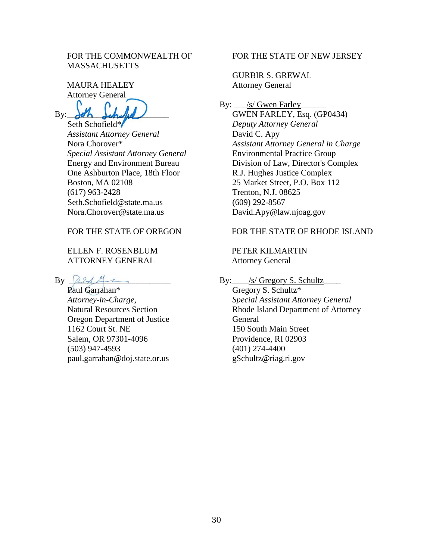# FOR THE COMMONWEALTH OF **MASSACHUSETTS**

MAURA HEALEY Attorney General

 $By:$ 

Seth Schofield\* *Assistant Attorney General* Nora Chorover\* *Special Assistant Attorney General* Energy and Environment Bureau One Ashburton Place, 18th Floor Boston, MA 02108 (617) 963-2428 Seth.Schofield@state.ma.us Nora.Chorover@state.ma.us

# FOR THE STATE OF OREGON

# ELLEN F. ROSENBLUM ATTORNEY GENERAL

 $By$   $2244$ 

Paul Garrahan\* *Attorney-in-Charge,*  Natural Resources Section Oregon Department of Justice 1162 Court St. NE Salem, OR 97301-4096 (503) 947-4593 paul.garrahan@doj.state.or.us

## FOR THE STATE OF NEW JERSEY

GURBIR S. GREWAL Attorney General

By: \_\_\_/s/ Gwen Farley\_ GWEN FARLEY, Esq. (GP0434) *Deputy Attorney General* David C. Apy *Assistant Attorney General in Charge* Environmental Practice Group Division of Law, Director's Complex R.J. Hughes Justice Complex 25 Market Street, P.O. Box 112 Trenton, N.J. 08625 (609) 292-8567 David.Apy@law.njoag.gov

# FOR THE STATE OF RHODE ISLAND

PETER KILMARTIN Attorney General

By:  $\angle$  /s/ Gregory S. Schultz

Gregory S. Schultz\* *Special Assistant Attorney General* Rhode Island Department of Attorney General 150 South Main Street Providence, RI 02903 (401) 274-4400 gSchultz@riag.ri.gov